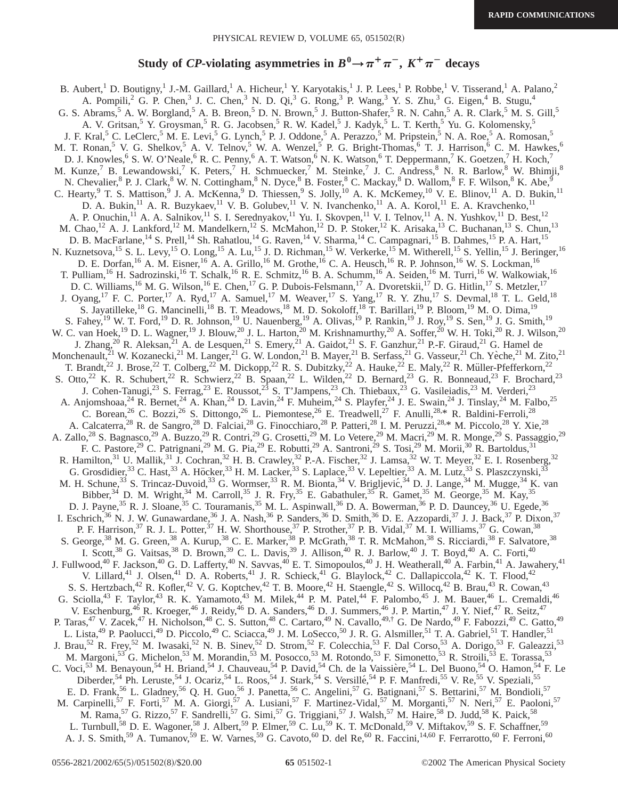## **Study of CP-violating asymmetries in**  $B^0 \rightarrow \pi^+ \pi^-$ **,**  $K^+ \pi^-$  **decays**

B. Aubert,<sup>1</sup> D. Boutigny,<sup>1</sup> J.-M. Gaillard,<sup>1</sup> A. Hicheur,<sup>1</sup> Y. Karyotakis,<sup>1</sup> J. P. Lees,<sup>1</sup> P. Robbe,<sup>1</sup> V. Tisserand,<sup>1</sup> A. Palano,<sup>2</sup> A. Pompili,<sup>2</sup> G. P. Chen,<sup>3</sup> J. C. Chen,<sup>3</sup> N. D. Qi,<sup>3</sup> G. Rong,<sup>3</sup> P. Wang,<sup>3</sup> Y. S. Zhu,<sup>3</sup> G. Eigen,<sup>4</sup> B. Stugu,<sup>4</sup> G. S. Abrams,  $5$  A. W. Borgland,  $5$  A. B. Breon,  $5$  D. N. Brown,  $5$  J. Button-Shafer,  $5$  R. N. Cahn,  $5$  A. R. Clark,  $5$  M. S. Gill,  $5$  A. V. Gritsan,  $5$  Y. Groysman,  $5$  R. G. Jacobsen,  $5$  R. W. Kadel,  $5$  J. Ka A. V. Gritsan,<sup>5</sup> Y. Groysman,<sup>5</sup> R. G. Jacobsen,<sup>5</sup> R. W. Kadel,<sup>5</sup> J. Kadyk,<sup>5</sup> L. T. Kerth,<sup>5</sup> Yu. G. Kolomensky,<sup>5</sup> J. F. Kral,<sup>5</sup> C. LeClerc,<sup>5</sup> M. E. Levi,<sup>5</sup> G. Lynch,<sup>5</sup> P. J. Oddone,<sup>5</sup> A. Perazzo,<sup>5</sup> M. Pripstein,<sup>5</sup> N. A. Roe,<sup>5</sup> A. Romosan,<sup>5</sup> M. T. Ronan,<sup>5</sup> V. G. Shelkov,<sup>5</sup> A. V. Telnov,<sup>5</sup> W. A. Wenzel,<sup>5</sup> P. G. Bright-Thomas,<sup>6</sup> T. J. Harrison,<sup>6</sup> C. M. Hawkes,<sup>6</sup> D. J. Knowles,<sup>6</sup> S. W. O'Neale,<sup>6</sup> R. C. Penny,<sup>6</sup> A. T. Watson,<sup>6</sup> N. K. Watson,<sup>6</sup> T. Deppermann,<sup>7</sup> K. Goetzen,<sup>7</sup> H. Koch,<sup>7</sup> M. Kunze,<sup>7</sup> B. Lewandowski,<sup>7</sup> K. Peters,<sup>7</sup> H. Schmuecker,<sup>7</sup> M. Steinke,<sup>7</sup> J. C. Andress,<sup>8</sup> N. R. Barlow,<sup>8</sup> W. Bhimji,<sup>8</sup> N. Chevalier, <sup>8</sup> P. J. Clark, <sup>8</sup> W. N. Cottingham, <sup>8</sup> N. Dyce, <sup>8</sup> B. Foster, <sup>8</sup> C. Mackay, <sup>8</sup> D. Wallom, <sup>8</sup> F. F. Wilson, <sup>8</sup> K. Abe, <sup>9</sup> C. Hearty, <sup>9</sup> T. S. Mattison, <sup>9</sup> J. A. McKenna, <sup>9</sup> D. Thiessen, <sup>9</sup> S. Jolly, <sup>10</sup> A. K. McKemey, <sup>10</sup> V. E. Blinov, <sup>11</sup> A. D. Bukin, <sup>11</sup> D. A. Bukin, <sup>11</sup> A. R. Buzykaev, <sup>11</sup> V. B. Golubev, <sup>11</sup> V. N. Ivanchenko, <sup>11</sup> A. A. Korol, <sup>11</sup> E. A. Kravchenko, <sup>11</sup> A. P. Onuchin,<sup>11</sup> A. A. Salnikov,<sup>11</sup> S. I. Serednyakov,<sup>11</sup> Yu. I. Skovpen,<sup>11</sup> V. I. Telnov,<sup>11</sup> A. N. Yushkov,<sup>11</sup> D. Best,<sup>12</sup> M. Chao,<sup>12</sup> A. J. Lankford,<sup>12</sup> M. Mandelkern,<sup>12</sup> S. McMahon,<sup>12</sup> D. P. Stoker,<sup>12</sup> K. Arisaka,<sup>13</sup> C. Buchanan,<sup>13</sup> S. Chun,<sup>13</sup> D. B. MacFarlane,<sup>14</sup> S. Prell,<sup>14</sup> Sh. Rahatlou,<sup>14</sup> G. Raven,<sup>14</sup> V. Sharma,<sup>14</sup> C. Campagnari,<sup>15</sup> B. Dahmes,<sup>15</sup> P. A. Hart,<sup>15</sup> N. Kuznetsova,<sup>15</sup> S. L. Levy,<sup>15</sup> O. Long,<sup>15</sup> A. Lu,<sup>15</sup> J. D. Richman,<sup>15</sup> W. Verkerke,<sup>15</sup> M. Witherell,<sup>15</sup> S. Yellin,<sup>15</sup> J. Beringer,<sup>16</sup> D. E. Dorfan, <sup>16</sup> A. M. Eisner, <sup>16</sup> A. A. Grillo, <sup>16</sup> M. Grothe, <sup>16</sup> C. A. Heusch, <sup>16</sup> R. P. Johnson, <sup>16</sup> W. S. Lockman, <sup>16</sup> T. Pulliam,<sup>16</sup> H. Sadrozinski,<sup>16</sup> T. Schalk,<sup>16</sup> R. E. Schmitz,<sup>16</sup> B. A. Schumm,<sup>16</sup> A. Seiden,<sup>16</sup> M. Turri,<sup>16</sup> W. Walkowiak,<sup>16</sup> D. C. Williams,<sup>16</sup> M. G. Wilson,<sup>16</sup> E. Chen,<sup>17</sup> G. P. Dubois-Felsmann,<sup>17</sup> A. Dvoretskii,<sup>17</sup> D. G. Hitlin,<sup>17</sup> S. Metzler,<sup>17</sup> J. Oyang,<sup>17</sup> F. C. Porter,<sup>17</sup> A. Ryd,<sup>17</sup> A. Samuel,<sup>17</sup> M. Weaver,<sup>17</sup> S. Yang,<sup>17</sup> R. Y. Zhu,<sup>17</sup> S. Devmal,<sup>18</sup> T. L. Geld,<sup>18</sup> S. Jayatilleke,<sup>18</sup> G. Mancinelli,<sup>18</sup> B. T. Meadows,<sup>18</sup> M. D. Sokoloff,<sup>18</sup> T. Barillari,<sup>19</sup> P. Bloom,<sup>19</sup> M. O. Dima,<sup>19</sup> S. Fahey,<sup>19</sup> W. T. Ford,<sup>19</sup> D. R. Johnson,<sup>19</sup> U. Nauenberg,<sup>19</sup> A. Olivas,<sup>19</sup> P. Rankin,<sup>19</sup> J. Roy,<sup>19</sup> S. Sen,<sup>19</sup> J. G. Smith,<sup>19</sup> W. C. van Hoek,<sup>19</sup> D. L. Wagner,<sup>19</sup> J. Blouw,<sup>20</sup> J. L. Harton,<sup>20</sup> M. Krishnamurthy,<sup>20</sup> A. Soffer,<sup>20</sup> W. H. Toki,<sup>20</sup> R. J. Wilson,<sup>20</sup> J. Zhang,<sup>20</sup> R. Aleksan,<sup>21</sup> A. de Lesquen,<sup>21</sup> S. Emery,<sup>21</sup> A. Gaidot,<sup>21</sup> S. F. Ganzhur,<sup>21</sup> P.-F. Giraud,<sup>21</sup> G. Hamel de Monchenault,  $^{21}$  W. Kozanecki,  $^{21}$  M. Langer,  $^{21}$  G. W. London,  $^{21}$  B. Mayer,  $^{21}$  B. Serfass,  $^{21}$  G. Vasseur,  $^{21}$  Ch. Yèche,  $^{21}$  M. Zito,  $^{21}$ T. Brandt,<sup>22</sup> J. Brose,<sup>22</sup> T. Colberg,<sup>22</sup> M. Dickopp,<sup>22</sup> R. S. Dubitzky,<sup>22</sup> A. Hauke,<sup>22</sup> E. Maly,<sup>22</sup> R. Müller-Pfefferkorn,<sup>22</sup> S. Otto,<sup>22</sup> K. R. Schubert,<sup>22</sup> R. Schwierz,<sup>22</sup> B. Spaan,<sup>22</sup> L. Wilden,<sup>22</sup> D. Bernard,<sup>23</sup> G. R. Bonneaud,<sup>23</sup> F. Brochard,<sup>23</sup> J. Cohen-Tanugi,<sup>23</sup> S. Ferrag,<sup>23</sup> E. Roussot,<sup>25</sup> S. T'Jampens,<sup>23</sup> Ch. Thiebaux,<sup>23</sup> G. Vasileiadis,<sup>23</sup> M. Verderi,<sup>23</sup> A. Anjomshoaa,<sup>24</sup> R. Bernet,<sup>24</sup> A. Khan,<sup>24</sup> D. Lavin,<sup>24</sup> F. Muheim,<sup>24</sup> S. Playfer,<sup>24</sup> J. E. Swain,<sup>24</sup> J. Tinslay,<sup>24</sup> M. Falbo,<sup>25</sup> C. Borean,<sup>26</sup> C. Bozzi,<sup>26</sup> S. Dittongo,<sup>26</sup> L. Piemontese,<sup>26</sup> E. Treadwell,<sup>27</sup> F. Anulli,<sup>28,\*</sup> R. Baldini-Ferroli,<sup>28</sup> A. Calcaterra,<sup>28</sup> R. de Sangro,<sup>28</sup> D. Falciai,<sup>28</sup> G. Finocchiaro,<sup>28</sup> P. Patteri,<sup>28</sup> I. M. Peruzzi,<sup>28,\*</sup> M. Piccolo,<sup>28</sup> Y. Xie,<sup>28</sup> A. Zallo,<sup>28</sup> S. Bagnasco,<sup>29</sup> A. Buzzo,<sup>29</sup> R. Contri,<sup>29</sup> G. Crosetti,<sup>29</sup> M. Lo Vetere,<sup>29</sup> M. Macri,<sup>29</sup> M. R. Monge,<sup>29</sup> S. Passaggio,<sup>29</sup> F. C. Pastore,<sup>29</sup> C. Patrignani,<sup>29</sup> M. G. Pia,<sup>29</sup> E. Robutti,<sup>29</sup> A. Santroni,<sup>29</sup> S. Tosi,<sup>29</sup> M. Morii,<sup>30</sup> R. Bartoldus,<sup>31</sup> R. Hamilton,<sup>31</sup> U. Mallik,<sup>31</sup> J. Cochran,<sup>32</sup> H. B. Crawley,<sup>32</sup> P.-A. Fischer,<sup>32</sup> J. Lamsa,<sup>32</sup> W. T. Meyer,<sup>32</sup> E. I. Rosenberg,<sup>32</sup> G. Grosdidier,<sup>33</sup> C. Hast,<sup>33</sup> A. Höcker,<sup>33</sup> H. M. Lacker,<sup>33</sup> S. Laplace,<sup>33</sup> V. Lepeltier,<sup>33</sup> A. M. Lutz,<sup>33</sup> S. Plaszczynski,<sup>33</sup> M. H. Schune,<sup>33</sup> S. Trincaz-Duvoid,<sup>33</sup> G. Wormser,<sup>33</sup> R. M. Bionta,<sup>34</sup> V. Brigljević,<sup>34</sup> D. J. Lange,<sup>34</sup> M. Mugge,<sup>34</sup> K. van Bibber,<sup>34</sup> D. M. Wright,<sup>34</sup> M. Carroll,<sup>35</sup> J. R. Fry,<sup>35</sup> E. Gabathuler,<sup>35</sup> R. Gamet,<sup>35</sup> M. George,<sup>35</sup> M. Kay,<sup>35</sup> D. J. Payne,<sup>35</sup> R. J. Sloane,<sup>35</sup> C. Touramanis,<sup>35</sup> M. L. Aspinwall,<sup>36</sup> D. A. Bowerman,<sup>36</sup> P. D. Dauncey,<sup>36</sup> U. Egede,<sup>36</sup> I. Eschrich,<sup>36</sup> N. J. W. Gunawardane,<sup>36</sup> J. A. Nash,<sup>36</sup> P. Sanders,<sup>36</sup> D. Smith,<sup>36</sup> D. E. Azzopardi,<sup>37</sup> J. J. Back,<sup>37</sup> P. Dixon,<sup>37</sup> P. F. Harrison,<sup>37</sup> R. J. L. Potter,<sup>37</sup> H. W. Shorthouse,<sup>37</sup> P. Strother,<sup>37</sup> P. B. Vidal,<sup>37</sup> M. I. Williams,<sup>37</sup> G. Cowan,<sup>38</sup> S. George,<sup>38</sup> M. G. Green,<sup>38</sup> A. Kurup,<sup>38</sup> C. E. Marker,<sup>38</sup> P. McGrath,<sup>38</sup> T. R. McMahon,<sup>38</sup> S. Ricciardi,<sup>38</sup> F. Salvatore,<sup>38</sup> I. Scott,<sup>38</sup> G. Vaitsas,<sup>38</sup> D. Brown,<sup>39</sup> C. L. Davis,<sup>39</sup> J. Allison,<sup>40</sup> R. J. Barlow,<sup>40</sup> J. T. Boyd,<sup>40</sup> A. C. Forti,<sup>40</sup> J. Fullwood,<sup>40</sup> F. Jackson,<sup>40</sup> G. D. Lafferty,<sup>40</sup> N. Savvas,<sup>40</sup> E. T. Simopoulos,<sup>40</sup> J. H. Weatherall,<sup>40</sup> A. Farbin,<sup>41</sup> A. Jawahery,<sup>41</sup> V. Lillard,<sup>41</sup> J. Olsen,<sup>41</sup> D. A. Roberts,<sup>41</sup> J. R. Schieck,<sup>41</sup> G. Blaylock,<sup>42</sup> C. Dallapiccola,<sup>42</sup> K. T. Flood,<sup>42</sup> S. S. Hertzbach,<sup>42</sup> R. Kofler,<sup>42</sup> V. G. Koptchev,<sup>42</sup> T. B. Moore,<sup>42</sup> H. Staengle,<sup>42</sup> S. Willocq,<sup>42</sup> B. Brau,<sup>43</sup> R. Cowan,<sup>43</sup> G. Sciolla,<sup>43</sup> F. Taylor,<sup>43</sup> R. K. Yamamoto,<sup>43</sup> M. Milek,<sup>44</sup> P. M. Patel,<sup>44</sup> F. Palombo,<sup>45</sup> J. M. Bauer,<sup>46</sup> L. Cremaldi,<sup>46</sup> V. Eschenburg,<sup>46</sup> R. Kroeger,<sup>46</sup> J. Reidy,<sup>46</sup> D. A. Sanders,<sup>46</sup> D. J. Summers,<sup>46</sup> J. P. Martin,<sup>47</sup> J. Y. Nief,<sup>47</sup> R. Seitz,<sup>47</sup> P. Taras,<sup>47</sup> V. Zacek,<sup>47</sup> H. Nicholson,<sup>48</sup> C. S. Sutton,<sup>48</sup> C. Cartaro,<sup>49</sup> N. Cavallo,<sup>49,†</sup> G. De Nardo,<sup>49</sup> F. Fabozzi,<sup>49</sup> C. Gatto,<sup>49</sup> L. Lista,<sup>49</sup> P. Paolucci,<sup>49</sup> D. Piccolo,<sup>49</sup> C. Sciacca,<sup>49</sup> J. M. LoSecco,<sup>50</sup> J. R. G. Alsmiller,<sup>51</sup> T. A. Gabriel,<sup>51</sup> T. Handler,<sup>51</sup> J. Brau,<sup>52</sup> R. Frey,<sup>52</sup> M. Iwasaki,<sup>52</sup> N. B. Sinev,<sup>52</sup> D. Strom,<sup>52</sup> F. Colecchia,<sup>53</sup> F. Dal Corso,<sup>53</sup> A. Dorigo,<sup>53</sup> F. Galeazzi,<sup>53</sup> M. Margoni,<sup>53</sup> G. Michelon,<sup>53</sup> M. Morandin,<sup>53</sup> M. Posocco,<sup>53</sup> M. Rotondo,<sup>53</sup> F. Simonetto,<sup>53</sup> R. Stroili,<sup>53</sup> E. Torassa,<sup>53</sup> C. Voci,<sup>53</sup> M. Benayoun,<sup>54</sup> H. Briand,<sup>54</sup> J. Chauveau,<sup>54</sup> P. David,<sup>54</sup> Ch. de la Vaissière,<sup>54</sup> L. Del Buono,<sup>54</sup> O. Hamon,<sup>54</sup> F. Le Diberder,<sup>54</sup> Ph. Leruste,<sup>54</sup> J. Ocariz,<sup>54</sup> L. Roos,<sup>54</sup> J. Stark,<sup>54</sup> S. Versillé,<sup>54</sup> P. F. Manfredi,<sup>55</sup> V. Re,<sup>55</sup> V. Speziali,<sup>55</sup> E. D. Frank,<sup>56</sup> L. Gladney,<sup>56</sup> Q. H. Guo,<sup>56</sup> J. Panetta,<sup>56</sup> C. Angelini,<sup>57</sup> G. Batignani,<sup>57</sup> S. Bettarini,<sup>57</sup> M. Bondioli,<sup>57</sup> M. Carpinelli,<sup>57</sup> F. Forti,<sup>57</sup> M. A. Giorgi,<sup>57</sup> A. Lusiani,<sup>57</sup> F. Martinez-Vidal,<sup>57</sup> M. Morganti,<sup>57</sup> N. Neri,<sup>57</sup> E. Paoloni,<sup>57</sup> M. Rama,<sup>57</sup> G. Rizzo,<sup>57</sup> F. Sandrelli,<sup>57</sup> G. Simi,<sup>57</sup> G. Triggiani,<sup>57</sup> J. Walsh,<sup>57</sup> M. Haire,<sup>58</sup> D. Judd,<sup>58</sup> K. Paick,<sup>58</sup> L. Turnbull,<sup>58</sup> D. E. Wagoner,<sup>58</sup> J. Albert,<sup>59</sup> P. Elmer,<sup>59</sup> C. Lu,<sup>59</sup> K. T. McDonald,<sup>59</sup> V. Miftakov,<sup>59</sup> S. F. Schaffner,<sup>59</sup> A. J. S. Smith,<sup>59</sup> A. Tumanov,<sup>59</sup> E. W. Varnes,<sup>59</sup> G. Cavoto,<sup>60</sup> D. del Re,<sup>60</sup> R. Faccini,<sup>14,60</sup> F. Ferrarotto,<sup>60</sup> F. Ferroni,<sup>60</sup>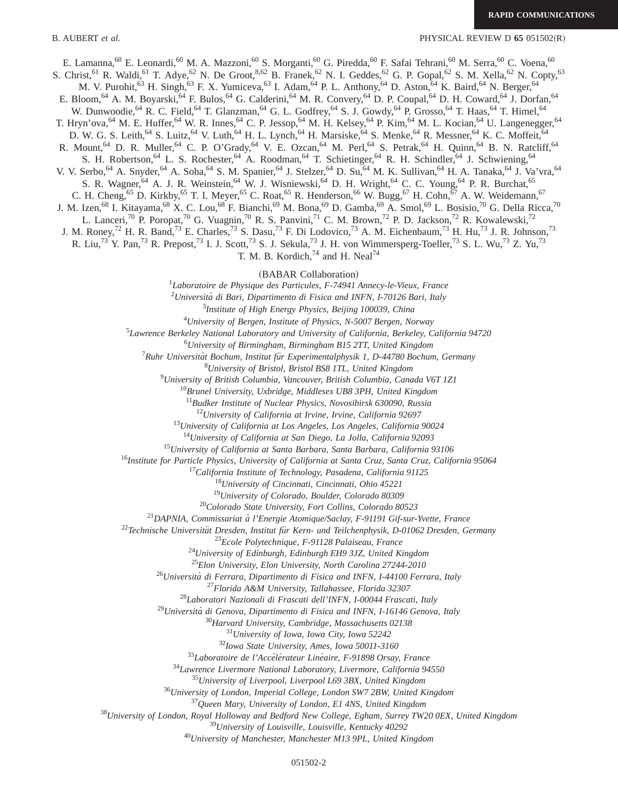B. AUBERT *et al.* PHYSICAL REVIEW D **65** 051502(R)

E. Lamanna,<sup>60</sup> E. Leonardi,<sup>60</sup> M. A. Mazzoni,<sup>60</sup> S. Morganti,<sup>60</sup> G. Piredda,<sup>60</sup> F. Safai Tehrani,<sup>60</sup> M. Serra,<sup>60</sup> C. Voena,<sup>60</sup> S. Christ,<sup>61</sup> R. Waldi,<sup>61</sup> T. Adye,<sup>62</sup> N. De Groot,<sup>8,62</sup> B. Franek,<sup>62</sup> N. I. Geddes,<sup>62</sup> G. P. Gopal,<sup>62</sup> S. M. Xella,<sup>62</sup> N. Copty,<sup>63</sup> M. V. Purohit,<sup>63</sup> H. Singh,<sup>63</sup> F. X. Yumiceva,<sup>63</sup> I. Adam,<sup>64</sup> P. L. Anthony,<sup>64</sup> D. Aston,<sup>64</sup> K. Baird,<sup>64</sup> N. Berger,<sup>64</sup> E. Bloom,<sup>64</sup> A. M. Boyarski,<sup>64</sup> F. Bulos,<sup>64</sup> G. Calderini,<sup>64</sup> M. R. Convery,<sup>64</sup> D. P. Coupal,<sup>64</sup> D. H. Coward,<sup>64</sup> J. Dorfan,<sup>64</sup> W. Dunwoodie,<sup>64</sup> R. C. Field,<sup>64</sup> T. Glanzman,<sup>64</sup> G. L. Godfrey,<sup>64</sup> S. J. Gowdy,<sup>64</sup> P. Grosso,<sup>64</sup> T. Haas,<sup>64</sup> T. Himel,<sup>64</sup> T. Hryn'ova,<sup>64</sup> M. E. Huffer,<sup>64</sup> W. R. Innes,<sup>64</sup> C. P. Jessop,<sup>64</sup> M. H. Kelsey,<sup>64</sup> P. Kim,<sup>64</sup> M. L. Kocian,<sup>64</sup> U. Langenegger,<sup>64</sup> D. W. G. S. Leith,<sup>64</sup> S. Luitz,<sup>64</sup> V. Luth,<sup>64</sup> H. L. Lynch,<sup>64</sup> H. Marsiske,<sup>64</sup> S. Menke,<sup>64</sup> R. Messner,<sup>64</sup> K. C. Moffeit,<sup>64</sup> R. Mount,<sup>64</sup> D. R. Muller,<sup>64</sup> C. P. O'Grady,<sup>64</sup> V. E. Ozcan,<sup>64</sup> M. Perl,<sup>64</sup> S. Petrak,<sup>64</sup> H. Quinn,<sup>64</sup> B. N. Ratcliff,<sup>64</sup> S. H. Robertson, <sup>64</sup> L. S. Rochester, <sup>64</sup> A. Roodman, <sup>64</sup> T. Schietinger, <sup>64</sup> R. H. Schindler, <sup>64</sup> J. Schwiening, <sup>64</sup> V. V. Serbo, <sup>64</sup> A. Snyder, <sup>64</sup> A. Soha, <sup>64</sup> S. M. Spanier, <sup>64</sup> J. Stelzer, <sup>64</sup> D. Su, <sup>64</sup> M. K. Sullivan, <sup>64</sup> H. A. Tanaka, <sup>64</sup> J. Va'vra, <sup>64</sup> S. R. Wagner, <sup>64</sup> A. J. R. Weinstein, <sup>64</sup> W. J. Wisniewski, <sup>64</sup> D. H. Wright, <sup>64</sup> C. C. Young, <sup>64</sup> P. R. Burchat, <sup>65</sup> C. H. Cheng,<sup>65</sup> D. Kirkby,<sup>65</sup> T. I. Meyer,<sup>65</sup> C. Roat,<sup>65</sup> R. Henderson,<sup>66</sup> W. Bugg,<sup>67</sup> H. Cohn,<sup>67</sup> A. W. Weidemann,<sup>67</sup>

J. M. Izen,<sup>68</sup> I. Kitayama,<sup>68</sup> X. C. Lou,<sup>68</sup> F. Bianchi,<sup>69</sup> M. Bona,<sup>69</sup> D. Gamba,<sup>69</sup> A. Smol,<sup>69</sup> L. Bosisio,<sup>70</sup> G. Della Ricca,<sup>70</sup>

L. Lanceri,<sup>70</sup> P. Poropat,<sup>70</sup> G. Vuagnin,<sup>70</sup> R. S. Panvini,<sup>71</sup> C. M. Brown,<sup>72</sup> P. D. Jackson,<sup>72</sup> R. Kowalewski,<sup>72</sup>

J. M. Roney,<sup>72</sup> H. R. Band,<sup>73</sup> E. Charles,<sup>73</sup> S. Dasu,<sup>73</sup> F. Di Lodovico,<sup>73</sup> A. M. Eichenbaum,<sup>73</sup> H. Hu,<sup>73</sup> J. R. Johnson,<sup>73</sup>

R. Liu,<sup>73</sup> Y. Pan,<sup>73</sup> R. Prepost,<sup>73</sup> I. J. Scott,<sup>73</sup> S. J. Sekula,<sup>73</sup> J. H. von Wimmersperg-Toeller,<sup>73</sup> S. L. Wu,<sup>73</sup> Z. Yu,<sup>73</sup>

T. M. B. Kordich, and H. Neal $74$ 

<sup>~</sup>BABAR Collaboration! *Laboratoire de Physique des Particules, F-74941 Annecy-le-Vieux, France*

*Universita` di Bari, Dipartimento di Fisica and INFN, I-70126 Bari, Italy*

*Institute of High Energy Physics, Beijing 100039, China*

*University of Bergen, Institute of Physics, N-5007 Bergen, Norway*

*Lawrence Berkeley National Laboratory and University of California, Berkeley, California 94720*

*University of Birmingham, Birmingham B15 2TT, United Kingdom*

<sup>7</sup> Ruhr Universität Bochum, Institut für Experimentalphysik 1, D-44780 Bochum, Germany

*University of Bristol, Bristol BS8 1TL, United Kingdom*

*University of British Columbia, Vancouver, British Columbia, Canada V6T 1Z1*

*Brunel University, Uxbridge, Middlesex UB8 3PH, United Kingdom*

*Budker Institute of Nuclear Physics, Novosibirsk 630090, Russia*

*University of California at Irvine, Irvine, California 92697*

*University of California at Los Angeles, Los Angeles, California 90024*

*University of California at San Diego, La Jolla, California 92093*

*University of California at Santa Barbara, Santa Barbara, California 93106*

*Institute for Particle Physics, University of California at Santa Cruz, Santa Cruz, California 95064*

*California Institute of Technology, Pasadena, California 91125*

*University of Cincinnati, Cincinnati, Ohio 45221*

*University of Colorado, Boulder, Colorado 80309*

*Colorado State University, Fort Collins, Colorado 80523*

*DAPNIA, Commissariat a` l'Energie Atomique/Saclay, F-91191 Gif-sur-Yvette, France*

<sup>22</sup>Technische Universität Dresden, Institut für Kern- und Teilchenphysik, D-01062 Dresden, Germany

*Ecole Polytechnique, F-91128 Palaiseau, France*

*University of Edinburgh, Edinburgh EH9 3JZ, United Kingdom*

*Elon University, Elon University, North Carolina 27244-2010*

*Universita` di Ferrara, Dipartimento di Fisica and INFN, I-44100 Ferrara, Italy*

*Florida A&M University, Tallahassee, Florida 32307*

*Laboratori Nazionali di Frascati dell'INFN, I-00044 Frascati, Italy*

*Universita` di Genova, Dipartimento di Fisica and INFN, I-16146 Genova, Italy*

*Harvard University, Cambridge, Massachusetts 02138*

*University of Iowa, Iowa City, Iowa 52242*

*Iowa State University, Ames, Iowa 50011-3160*

<sup>33</sup>Laboratoire de l'Accélérateur Linéaire, F-91898 Orsay, France

*Lawrence Livermore National Laboratory, Livermore, California 94550*

*University of Liverpool, Liverpool L69 3BX, United Kingdom*

*University of London, Imperial College, London SW7 2BW, United Kingdom*

*Queen Mary, University of London, E1 4NS, United Kingdom*

*University of London, Royal Holloway and Bedford New College, Egham, Surrey TW20 0EX, United Kingdom*

*University of Louisville, Louisville, Kentucky 40292*

*University of Manchester, Manchester M13 9PL, United Kingdom*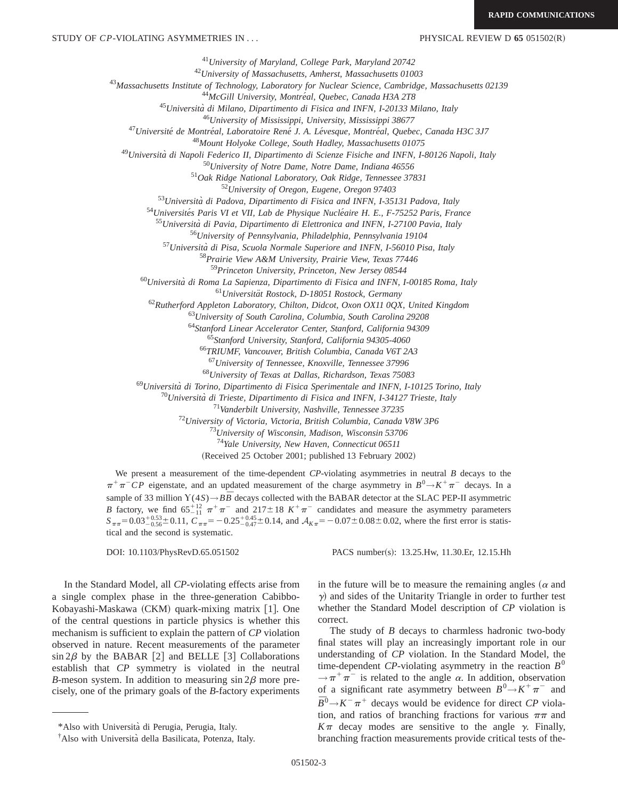*University of Maryland, College Park, Maryland 20742 University of Massachusetts, Amherst, Massachusetts 01003 Massachusetts Institute of Technology, Laboratory for Nuclear Science, Cambridge, Massachusetts 02139* <sup>44</sup>McGill University, Montréal, Quebec, Canada H3A 2T8 *Universita` di Milano, Dipartimento di Fisica and INFN, I-20133 Milano, Italy University of Mississippi, University, Mississippi 38677 Universite´ de Montre´al, Laboratoire Rene´ J. A. Le´vesque, Montre´al, Quebec, Canada H3C 3J7 Mount Holyoke College, South Hadley, Massachusetts 01075 Universita` di Napoli Federico II, Dipartimento di Scienze Fisiche and INFN, I-80126 Napoli, Italy University of Notre Dame, Notre Dame, Indiana 46556 Oak Ridge National Laboratory, Oak Ridge, Tennessee 37831 University of Oregon, Eugene, Oregon 97403 Universita` di Padova, Dipartimento di Fisica and INFN, I-35131 Padova, Italy* <sup>54</sup>Universités Paris VI et VII, Lab de Physique Nucléaire H. E., F-75252 Paris, France *Universita` di Pavia, Dipartimento di Elettronica and INFN, I-27100 Pavia, Italy University of Pennsylvania, Philadelphia, Pennsylvania 19104 Universita` di Pisa, Scuola Normale Superiore and INFN, I-56010 Pisa, Italy Prairie View A&M University, Prairie View, Texas 77446 Princeton University, Princeton, New Jersey 08544 Universita` di Roma La Sapienza, Dipartimento di Fisica and INFN, I-00185 Roma, Italy Universita¨t Rostock, D-18051 Rostock, Germany Rutherford Appleton Laboratory, Chilton, Didcot, Oxon OX11 0QX, United Kingdom University of South Carolina, Columbia, South Carolina 29208 Stanford Linear Accelerator Center, Stanford, California 94309 Stanford University, Stanford, California 94305-4060 TRIUMF, Vancouver, British Columbia, Canada V6T 2A3 University of Tennessee, Knoxville, Tennessee 37996*

<sup>68</sup>*University of Texas at Dallas, Richardson, Texas 75083*

<sup>69</sup>*Universita` di Torino, Dipartimento di Fisica Sperimentale and INFN, I-10125 Torino, Italy*

<sup>70</sup>*Universita` di Trieste, Dipartimento di Fisica and INFN, I-34127 Trieste, Italy*

<sup>71</sup>*Vanderbilt University, Nashville, Tennessee 37235*

<sup>72</sup>*University of Victoria, Victoria, British Columbia, Canada V8W 3P6*

<sup>73</sup>*University of Wisconsin, Madison, Wisconsin 53706*

<sup>74</sup>*Yale University, New Haven, Connecticut 06511*

(Received 25 October 2001; published 13 February 2002)

We present a measurement of the time-dependent *CP*-violating asymmetries in neutral *B* decays to the  $\pi^{+}\pi^{-}CP$  eigenstate, and an updated measurement of the charge asymmetry in  $B^{0}\rightarrow K^{+}\pi^{-}$  decays. In a sample of 33 million  $Y(4S) \rightarrow B\bar{B}$  decays collected with the BABAR detector at the SLAC PEP-II asymmetric *B* factory, we find  $65^{+12}_{-11} \pi^+ \pi^-$  and  $217 \pm 18$   $K^+ \pi^-$  candidates and measure the asymmetry parameters  $S_{\pi\pi}$  = 0.03<sup>+0.53</sup> + 0.11,  $C_{\pi\pi}$  = -0.25<sup>+0.45</sup> + 0.14, and  $A_{K\pi}$  = -0.07 ± 0.08 ± 0.02, where the first error is statistical and the second is systematic.

DOI: 10.1103/PhysRevD.65.051502 PACS number(s): 13.25.Hw, 11.30.Er, 12.15.Hh

In the Standard Model, all *CP*-violating effects arise from a single complex phase in the three-generation Cabibbo-Kobayashi-Maskawa (CKM) quark-mixing matrix [1]. One of the central questions in particle physics is whether this mechanism is sufficient to explain the pattern of *CP* violation observed in nature. Recent measurements of the parameter  $\sin 2\beta$  by the BABAR [2] and BELLE [3] Collaborations establish that *CP* symmetry is violated in the neutral *B*-meson system. In addition to measuring  $\sin 2\beta$  more precisely, one of the primary goals of the *B*-factory experiments in the future will be to measure the remaining angles ( $\alpha$  and  $\gamma$ ) and sides of the Unitarity Triangle in order to further test whether the Standard Model description of *CP* violation is correct.

The study of *B* decays to charmless hadronic two-body final states will play an increasingly important role in our understanding of *CP* violation. In the Standard Model, the time-dependent *CP*-violating asymmetry in the reaction  $B^0$  $\rightarrow \pi^+\pi^-$  is related to the angle  $\alpha$ . In addition, observation of a significant rate asymmetry between  $B^0 \rightarrow K^+ \pi^-$  and  $\overline{B}^0 \rightarrow K^- \pi^+$  decays would be evidence for direct *CP* violation, and ratios of branching fractions for various  $\pi\pi$  and  $K\pi$  decay modes are sensitive to the angle  $\gamma$ . Finally, branching fraction measurements provide critical tests of the-

<sup>\*</sup>Also with Universita` di Perugia, Perugia, Italy.

<sup>†</sup> Also with Universita` della Basilicata, Potenza, Italy.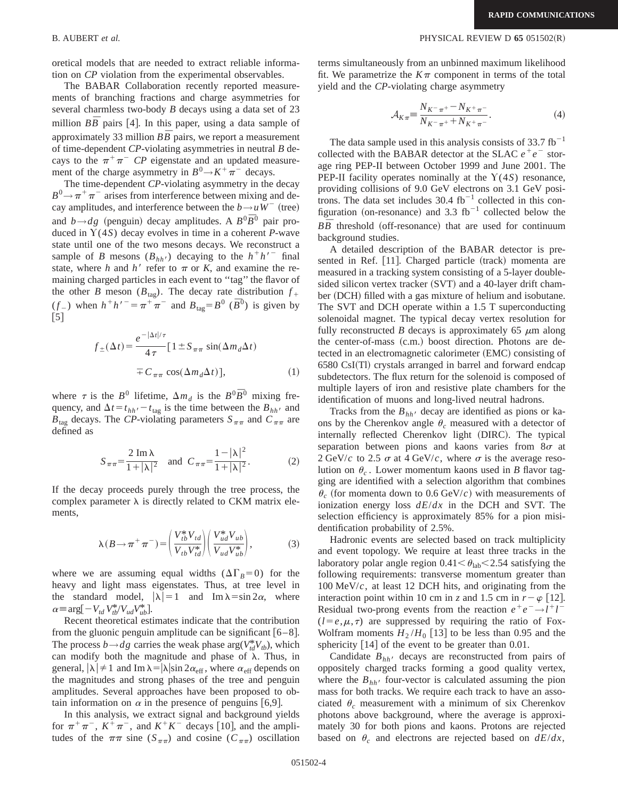oretical models that are needed to extract reliable information on *CP* violation from the experimental observables.

The BABAR Collaboration recently reported measurements of branching fractions and charge asymmetries for several charmless two-body *B* decays using a data set of 23 million  $B\overline{B}$  pairs [4]. In this paper, using a data sample of approximately 33 million  $B\overline{B}$  pairs, we report a measurement of time-dependent *CP*-violating asymmetries in neutral *B* decays to the  $\pi^{+}\pi^{-}$  *CP* eigenstate and an updated measurement of the charge asymmetry in  $B^0 \rightarrow K^+ \pi^-$  decays.

The time-dependent *CP*-violating asymmetry in the decay  $B^0 \rightarrow \pi^+ \pi^-$  arises from interference between mixing and decay amplitudes, and interference between the  $b \rightarrow uW^-$  (tree) and  $b \rightarrow dg$  (penguin) decay amplitudes. A  $B^0 \overline{B}^0$  pair produced in Y(4*S*) decay evolves in time in a coherent *P*-wave state until one of the two mesons decays. We reconstruct a sample of *B* mesons  $(B_{hh'})$  decaying to the  $h^+h'^-$  final state, where *h* and *h'* refer to  $\pi$  or *K*, and examine the remaining charged particles in each event to ''tag'' the flavor of the other *B* meson ( $B_{\text{tag}}$ ). The decay rate distribution  $f_+$ (*f*<sub>-</sub>) when  $h^+h^{\prime-} = \pi^+\pi^-$  and  $B_{\text{tag}} = B^0$  ( $\bar{B}^0$ ) is given by  $\lceil 5 \rceil$ 

$$
f_{\pm}(\Delta t) = \frac{e^{-|\Delta t|/\tau}}{4\tau} [1 \pm S_{\pi\pi} \sin(\Delta m_d \Delta t)
$$

$$
= C_{\pi\pi} \cos(\Delta m_d \Delta t)], \qquad (1)
$$

where  $\tau$  is the *B*<sup>0</sup> lifetime,  $\Delta m_d$  is the *B*<sup>0</sup> $\overline{B}$ <sup>0</sup> mixing frequency, and  $\Delta t = t_{hh'} - t_{\text{tag}}$  is the time between the *B<sub>hh</sub>*, and  $B_{\text{tag}}$  decays. The *CP*-violating parameters  $S_{\pi\pi}$  and  $C_{\pi\pi}$  are defined as

$$
S_{\pi\pi} = \frac{2 \text{ Im }\lambda}{1 + |\lambda|^2} \text{ and } C_{\pi\pi} = \frac{1 - |\lambda|^2}{1 + |\lambda|^2}. \tag{2}
$$

If the decay proceeds purely through the tree process, the complex parameter  $\lambda$  is directly related to CKM matrix elements,

$$
\lambda(B \to \pi^+ \pi^-) = \left(\frac{V_{tb}^* V_{td}}{V_{tb} V_{td}^*}\right) \left(\frac{V_{ud}^* V_{ub}}{V_{ud} V_{ub}^*}\right),\tag{3}
$$

where we are assuming equal widths  $(\Delta\Gamma_B=0)$  for the heavy and light mass eigenstates. Thus, at tree level in the standard model,  $|\lambda|=1$  and Im  $\lambda=\sin 2\alpha$ , where  $\alpha \equiv \arg[-V_{td} V_{tb}^* / V_{ud} V_{ub}^*]$ .

Recent theoretical estimates indicate that the contribution from the gluonic penguin amplitude can be significant  $[6-8]$ . The process  $b \rightarrow dg$  carries the weak phase arg( $V_{td}^*V_{tb}$ ), which can modify both the magnitude and phase of  $\lambda$ . Thus, in general,  $|\lambda| \neq 1$  and Im  $\lambda = |\lambda| \sin 2\alpha_{\text{eff}}$ , where  $\alpha_{\text{eff}}$  depends on the magnitudes and strong phases of the tree and penguin amplitudes. Several approaches have been proposed to obtain information on  $\alpha$  in the presence of penguins [6,9].

In this analysis, we extract signal and background yields for  $\pi^{+}\pi^{-}$ ,  $K^{+}\pi^{-}$ , and  $K^{+}K^{-}$  decays [10], and the amplitudes of the  $\pi\pi$  sine ( $S_{\pi\pi}$ ) and cosine ( $C_{\pi\pi}$ ) oscillation terms simultaneously from an unbinned maximum likelihood fit. We parametrize the  $K\pi$  component in terms of the total yield and the *CP*-violating charge asymmetry

$$
\mathcal{A}_{K\pi} = \frac{N_{K^-\pi^+} - N_{K^+\pi^-}}{N_{K^-\pi^+} + N_{K^+\pi^-}}.\tag{4}
$$

The data sample used in this analysis consists of  $33.7 \text{ fb}^{-1}$ collected with the BABAR detector at the SLAC  $e^+e^-$  storage ring PEP-II between October 1999 and June 2001. The PEP-II facility operates nominally at the  $Y(4S)$  resonance, providing collisions of 9.0 GeV electrons on 3.1 GeV positrons. The data set includes  $30.4$  fb<sup>-1</sup> collected in this configuration (on-resonance) and 3.3  $fb^{-1}$  collected below the  $B\overline{B}$  threshold (off-resonance) that are used for continuum background studies.

A detailed description of the BABAR detector is presented in Ref. [11]. Charged particle (track) momenta are measured in a tracking system consisting of a 5-layer doublesided silicon vertex tracker  $(SVT)$  and a 40-layer drift chamber (DCH) filled with a gas mixture of helium and isobutane. The SVT and DCH operate within a 1.5 T superconducting solenoidal magnet. The typical decay vertex resolution for fully reconstructed *B* decays is approximately 65  $\mu$ m along the center-of-mass  $(c.m.)$  boost direction. Photons are detected in an electromagnetic calorimeter (EMC) consisting of 6580 CsI(Tl) crystals arranged in barrel and forward endcap subdetectors. The flux return for the solenoid is composed of multiple layers of iron and resistive plate chambers for the identification of muons and long-lived neutral hadrons.

Tracks from the  $B_{hh}$  decay are identified as pions or kaons by the Cherenkov angle  $\theta_c$  measured with a detector of internally reflected Cherenkov light (DIRC). The typical separation between pions and kaons varies from  $8\sigma$  at 2 GeV/*c* to 2.5  $\sigma$  at 4 GeV/*c*, where  $\sigma$  is the average resolution on  $\theta_c$ . Lower momentum kaons used in *B* flavor tagging are identified with a selection algorithm that combines  $\theta_c$  (for momenta down to 0.6 GeV/*c*) with measurements of ionization energy loss *dE*/*dx* in the DCH and SVT. The selection efficiency is approximately 85% for a pion misidentification probability of 2.5%.

Hadronic events are selected based on track multiplicity and event topology. We require at least three tracks in the laboratory polar angle region  $0.41 \leq \theta_{\rm lab} \leq 2.54$  satisfying the following requirements: transverse momentum greater than 100 MeV/*c*, at least 12 DCH hits, and originating from the interaction point within 10 cm in *z* and 1.5 cm in  $r - \varphi$  [12]. Residual two-prong events from the reaction  $e^+e^- \rightarrow l^+l^ (l = e, \mu, \tau)$  are suppressed by requiring the ratio of Fox-Wolfram moments  $H_2/H_0$  [13] to be less than 0.95 and the sphericity  $[14]$  of the event to be greater than 0.01.

Candidate  $B_{hh}$  decays are reconstructed from pairs of oppositely charged tracks forming a good quality vertex, where the  $B_{hh}$  four-vector is calculated assuming the pion mass for both tracks. We require each track to have an associated  $\theta_c$  measurement with a minimum of six Cherenkov photons above background, where the average is approximately 30 for both pions and kaons. Protons are rejected based on  $\theta_c$  and electrons are rejected based on  $dE/dx$ ,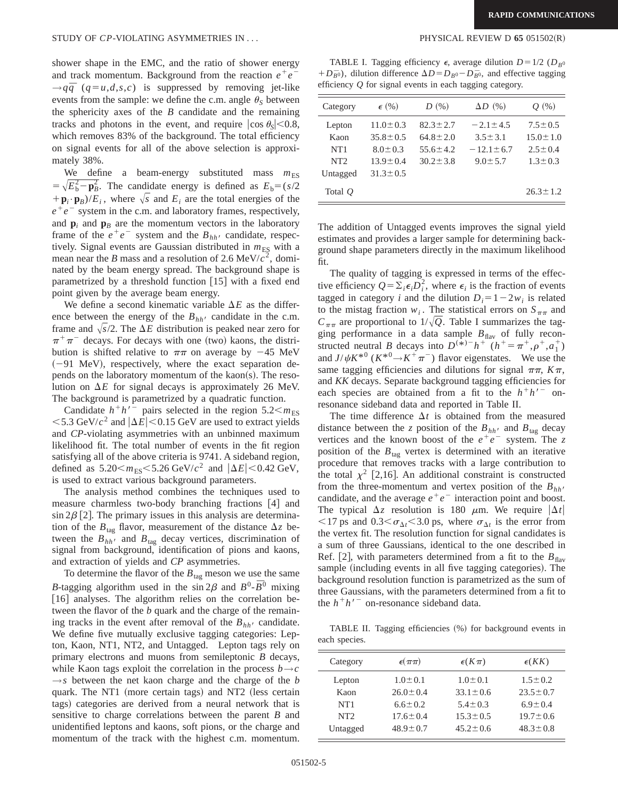shower shape in the EMC, and the ratio of shower energy and track momentum. Background from the reaction  $e^+e^ \rightarrow$ *q* $\bar{q}$  (*q*=*u*,*d*,*s*,*c*) is suppressed by removing jet-like events from the sample: we define the c.m. angle  $\theta_s$  between the sphericity axes of the *B* candidate and the remaining tracks and photons in the event, and require  $|\cos \theta_s|$  < 0.8, which removes 83% of the background. The total efficiency on signal events for all of the above selection is approximately 38%.

We define a beam-energy substituted mass  $m_{ES}$  $= \sqrt{E_b^2 - \mathbf{p}_B^2}$ . The candidate energy is defined as  $E_b = (s/2)$  $+\mathbf{p}_i \cdot \mathbf{p}_B$ / $E_i$ , where  $\sqrt{s}$  and  $E_i$  are the total energies of the  $e^+e^-$  system in the c.m. and laboratory frames, respectively, and  $\mathbf{p}_i$  and  $\mathbf{p}_B$  are the momentum vectors in the laboratory frame of the  $e^+e^-$  system and the  $B_{hh}$  candidate, respectively. Signal events are Gaussian distributed in  $m_{ES}$  with a mean near the *B* mass and a resolution of 2.6 MeV/ $c^2$ , dominated by the beam energy spread. The background shape is parametrized by a threshold function  $[15]$  with a fixed end point given by the average beam energy.

We define a second kinematic variable  $\Delta E$  as the difference between the energy of the  $B_{hh}$  candidate in the c.m. frame and  $\sqrt{s}/2$ . The  $\Delta E$  distribution is peaked near zero for  $\pi^+\pi^-$  decays. For decays with one (two) kaons, the distribution is shifted relative to  $\pi\pi$  on average by -45 MeV  $(-91 \text{ MeV})$ , respectively, where the exact separation depends on the laboratory momentum of the kaon(s). The resolution on  $\Delta E$  for signal decays is approximately 26 MeV. The background is parametrized by a quadratic function.

Candidate  $h^+h^{\prime-}$  pairs selected in the region 5.2 $<$ *m*<sub>ES</sub>  $<$  5.3 GeV/ $c^2$  and  $|\Delta E|$  < 0.15 GeV are used to extract yields and *CP*-violating asymmetries with an unbinned maximum likelihood fit. The total number of events in the fit region satisfying all of the above criteria is 9741. A sideband region, defined as  $5.20 \le m_{ES} \le 5.26 \text{ GeV}/c^2$  and  $|\Delta E| \le 0.42 \text{ GeV}$ , is used to extract various background parameters.

The analysis method combines the techniques used to measure charmless two-body branching fractions  $[4]$  and  $\sin 2\beta$  [2]. The primary issues in this analysis are determination of the  $B_{\text{tag}}$  flavor, measurement of the distance  $\Delta z$  between the  $B_{hh}$ <sup>t</sup> and  $B_{tag}$  decay vertices, discrimination of signal from background, identification of pions and kaons, and extraction of yields and *CP* asymmetries.

To determine the flavor of the  $B_{\text{tag}}$  meson we use the same *B*-tagging algorithm used in the sin  $2\beta$  and  $B^0$ - $\bar{B}^0$  mixing [16] analyses. The algorithm relies on the correlation between the flavor of the *b* quark and the charge of the remaining tracks in the event after removal of the  $B_{hh}$  candidate. We define five mutually exclusive tagging categories: Lepton, Kaon, NT1, NT2, and Untagged. Lepton tags rely on primary electrons and muons from semileptonic *B* decays, while Kaon tags exploit the correlation in the process  $b \rightarrow c$  $\rightarrow$ *s* between the net kaon charge and the charge of the *b* quark. The NT1 (more certain tags) and NT2 (less certain tags) categories are derived from a neural network that is sensitive to charge correlations between the parent *B* and unidentified leptons and kaons, soft pions, or the charge and momentum of the track with the highest c.m. momentum.

TABLE I. Tagging efficiency  $\epsilon$ , average dilution  $D=1/2$  ( $D_{B^0}$ + $D_{\bar{B}}$ <sup>0</sup>), dilution difference  $\Delta D = D_{B}^{0} - D_{\bar{B}^{0}}$ , and effective tagging efficiency *Q* for signal events in each tagging category.

| Category        | $\epsilon$ (%) | D(%)           | $\Delta D$ (%)  | $Q_{(0)}$      |
|-----------------|----------------|----------------|-----------------|----------------|
| Lepton          | $11.0 \pm 0.3$ | $82.3 \pm 2.7$ | $-2.1 + 4.5$    | $7.5 \pm 0.5$  |
| Kaon            | $35.8 \pm 0.5$ | $64.8 \pm 2.0$ | $3.5 \pm 3.1$   | $15.0 \pm 1.0$ |
| NT <sub>1</sub> | $8.0 \pm 0.3$  | $55.6 \pm 4.2$ | $-12.1 \pm 6.7$ | $2.5 \pm 0.4$  |
| NT2             | $13.9 \pm 0.4$ | $30.2 \pm 3.8$ | $9.0 \pm 5.7$   | $1.3 \pm 0.3$  |
| Untagged        | $31.3 \pm 0.5$ |                |                 |                |
| Total $Q$       |                |                |                 | $26.3 \pm 1.2$ |

The addition of Untagged events improves the signal yield estimates and provides a larger sample for determining background shape parameters directly in the maximum likelihood fit.

The quality of tagging is expressed in terms of the effective efficiency  $Q = \sum_i \epsilon_i D_i^2$ , where  $\epsilon_i$  is the fraction of events tagged in category *i* and the dilution  $D_i = 1 - 2w_i$  is related to the mistag fraction  $w_i$ . The statistical errors on  $S_{\pi\pi}$  and  $C_{\pi\pi}$  are proportional to  $1/\sqrt{Q}$ . Table I summarizes the tagging performance in a data sample  $B_{\text{flav}}$  of fully reconstructed neutral *B* decays into  $D^{(*)-}h^+$  ( $h^+=\pi^+, \rho^+, a_1^+$ ) and  $J/\psi K^{*0}$  ( $K^{*0} \rightarrow K^{+} \pi^{-}$ ) flavor eigenstates. We use the same tagging efficiencies and dilutions for signal  $\pi\pi$ ,  $K\pi$ , and *KK* decays. Separate background tagging efficiencies for each species are obtained from a fit to the  $h+h'$ <sup>-</sup> onresonance sideband data and reported in Table II.

The time difference  $\Delta t$  is obtained from the measured distance between the *z* position of the  $B_{hh}$  and  $B_{\text{tag}}$  decay vertices and the known boost of the  $e^+e^-$  system. The *z* position of the  $B_{\text{tag}}$  vertex is determined with an iterative procedure that removes tracks with a large contribution to the total  $\chi^2$  [2,16]. An additional constraint is constructed from the three-momentum and vertex position of the  $B_{hh'}$  candidate, and the average  $e^+e^-$  interaction point and boost. The typical  $\Delta z$  resolution is 180  $\mu$ m. We require  $|\Delta t|$  $\langle 17 \text{ ps and } 0.3 \langle \sigma_{\Delta t} \langle 3.0 \text{ ps, where } \sigma_{\Delta t} \rangle$  is the error from the vertex fit. The resolution function for signal candidates is a sum of three Gaussians, identical to the one described in Ref. [2], with parameters determined from a fit to the  $B_{\text{flav}}$ sample (including events in all five tagging categories). The background resolution function is parametrized as the sum of three Gaussians, with the parameters determined from a fit to the  $h<sup>+</sup>h<sup>′</sup>$  on-resonance sideband data.

TABLE II. Tagging efficiencies (%) for background events in each species.

| Category        | $\epsilon(\pi\pi)$ | $\epsilon(K\pi)$ | $\epsilon(KK)$ |
|-----------------|--------------------|------------------|----------------|
| Lepton          | $1.0 \pm 0.1$      | $1.0 \pm 0.1$    | $1.5 \pm 0.2$  |
| Kaon            | $26.0 \pm 0.4$     | $33.1 \pm 0.6$   | $23.5 \pm 0.7$ |
| NT <sub>1</sub> | $6.6 \pm 0.2$      | $5.4 \pm 0.3$    | $6.9 \pm 0.4$  |
| NT <sub>2</sub> | $17.6 \pm 0.4$     | $15.3 \pm 0.5$   | $19.7 \pm 0.6$ |
| Untagged        | $48.9 \pm 0.7$     | $45.2 \pm 0.6$   | $48.3 \pm 0.8$ |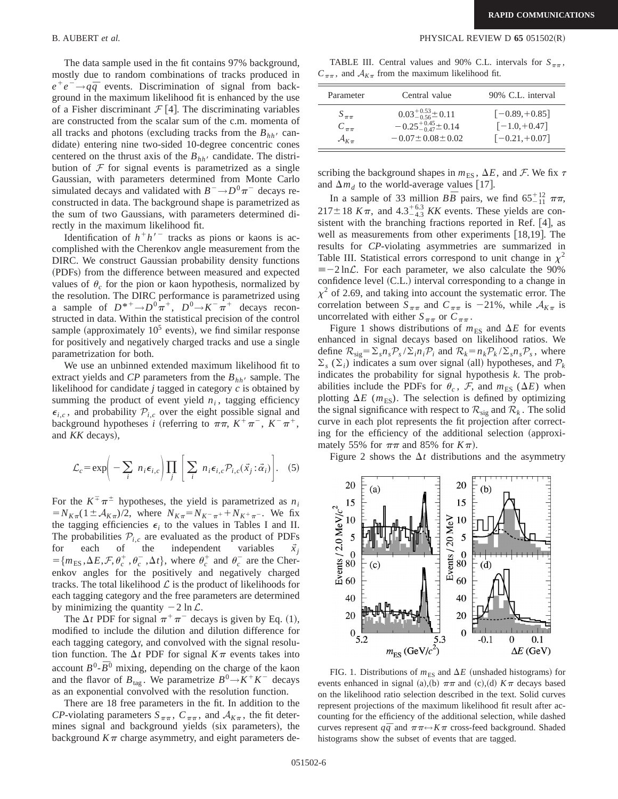The data sample used in the fit contains 97% background, mostly due to random combinations of tracks produced in  $e^+e^- \rightarrow q\bar{q}$  events. Discrimination of signal from background in the maximum likelihood fit is enhanced by the use of a Fisher discriminant  $\mathcal{F}$  [4]. The discriminating variables are constructed from the scalar sum of the c.m. momenta of all tracks and photons (excluding tracks from the  $B_{hh}$ <sup>t</sup> candidate) entering nine two-sided 10-degree concentric cones centered on the thrust axis of the  $B_{hh}$  candidate. The distribution of  $\mathcal F$  for signal events is parametrized as a single Gaussian, with parameters determined from Monte Carlo simulated decays and validated with  $B^- \rightarrow D^0 \pi^-$  decays reconstructed in data. The background shape is parametrized as the sum of two Gaussians, with parameters determined directly in the maximum likelihood fit.

Identification of  $h<sup>+</sup>h<sup>′</sup>$  tracks as pions or kaons is accomplished with the Cherenkov angle measurement from the DIRC. We construct Gaussian probability density functions (PDFs) from the difference between measured and expected values of  $\theta_c$  for the pion or kaon hypothesis, normalized by the resolution. The DIRC performance is parametrized using a sample of  $D^{*+}\rightarrow D^0\pi^+$ ,  $D^0\rightarrow K^-\pi^+$  decays reconstructed in data. Within the statistical precision of the control sample (approximately  $10^5$  events), we find similar response for positively and negatively charged tracks and use a single parametrization for both.

We use an unbinned extended maximum likelihood fit to extract yields and *CP* parameters from the  $B_{hh}$  sample. The likelihood for candidate *j* tagged in category *c* is obtained by summing the product of event yield  $n_i$ , tagging efficiency  $\epsilon_{i,c}$ , and probability  $\mathcal{P}_{i,c}$  over the eight possible signal and background hypotheses *i* (referring to  $\pi \pi$ ,  $K^+ \pi^-$ ,  $K^- \pi^+$ , and *KK* decays),

$$
\mathcal{L}_c = \exp\bigg(-\sum_i n_i \epsilon_{i,c}\bigg)\prod_j \bigg[\sum_i n_i \epsilon_{i,c}\mathcal{P}_{i,c}(\vec{x}_j \,:\, \vec{\alpha}_i)\bigg].\tag{5}
$$

For the  $K^{\pm} \pi^{\pm}$  hypotheses, the yield is parametrized as  $n_i$  $N_{K_{\pi}}(1 \pm A_{K_{\pi}})/2$ , where  $N_{K_{\pi}} = N_{K_{\pi}} + N_{K_{\pi}}- N_{K_{\pi}}$ . We fix the tagging efficiencies  $\epsilon_i$  to the values in Tables I and II. The probabilities  $P_{i,c}$  are evaluated as the product of PDFs<br>for each of the independent variables  $\vec{x}_i$ independent  $=\{m_{ES}, \Delta E, \mathcal{F}, \theta_c^+, \theta_c^-, \Delta t\}$ , where  $\theta_c^+$  and  $\theta_c^-$  are the Cherenkov angles for the positively and negatively charged tracks. The total likelihood  $\mathcal L$  is the product of likelihoods for each tagging category and the free parameters are determined by minimizing the quantity  $-2 \ln \mathcal{L}$ .

The  $\Delta t$  PDF for signal  $\pi^+\pi^-$  decays is given by Eq. (1), modified to include the dilution and dilution difference for each tagging category, and convolved with the signal resolution function. The  $\Delta t$  PDF for signal  $K\pi$  events takes into  $B^0$ - $\overline{B}^0$  mixing, depending on the charge of the kaon and the flavor of  $B_{\text{tag}}$ . We parametrize  $B^0 \rightarrow K^+ K^-$  decays as an exponential convolved with the resolution function.

There are 18 free parameters in the fit. In addition to the *CP*-violating parameters  $S_{\pi\pi}$ ,  $C_{\pi\pi}$ , and  $A_{K\pi}$ , the fit determines signal and background yields (six parameters), the background  $K\pi$  charge asymmetry, and eight parameters de-

B. AUBERT *et al.* PHYSICAL REVIEW D **65** 051502(R)

TABLE III. Central values and 90% C.L. intervals for  $S_{\pi\pi}$ ,  $C_{\pi\pi}$ , and  $A_{K_{\pi}}$  from the maximum likelihood fit.

| Parameter               | Central value                      | 90% C.L. interval |
|-------------------------|------------------------------------|-------------------|
| $S_{\pi\pi}$            | $0.03^{+0.53}_{-0.56}$ $\pm$ 0.11  | $[-0.89, +0.85]$  |
| $C_{\pi\pi}$            | $-0.25^{+0.45}_{-0.47}$ $\pm 0.14$ | $[-1.0, +0.47]$   |
| $\mathcal{A}_{K_{\pi}}$ | $-0.07 \pm 0.08 \pm 0.02$          | $[-0.21, +0.07]$  |

scribing the background shapes in  $m_{ES}$ ,  $\Delta E$ , and F. We fix  $\tau$ and  $\Delta m_d$  to the world-average values [17].

In a sample of 33 million  $B\overline{B}$  pairs, we find  $65^{+12}_{-11}$   $\pi\pi$ ,  $217 \pm 18$  K $\pi$ , and  $4.3^{+6.3}_{-4.3}$  KK events. These yields are consistent with the branching fractions reported in Ref.  $[4]$ , as well as measurements from other experiments  $[18,19]$ . The results for *CP*-violating asymmetries are summarized in Table III. Statistical errors correspond to unit change in  $\chi^2$  $\equiv -2 \ln \mathcal{L}$ . For each parameter, we also calculate the 90% confidence level  $(C.L.)$  interval corresponding to a change in  $\chi^2$  of 2.69, and taking into account the systematic error. The correlation between  $S_{\pi\pi}$  and  $C_{\pi\pi}$  is -21%, while  $A_{K_{\pi}}$  is uncorrelated with either  $S_{\pi\pi}$  or  $C_{\pi\pi}$ .

Figure 1 shows distributions of  $m_{ES}$  and  $\Delta E$  for events enhanced in signal decays based on likelihood ratios. We define  $\mathcal{R}_{\text{sig}} = \sum_{s} n_s \mathcal{P}_s / \sum_{i} n_i \mathcal{P}_i$  and  $\mathcal{R}_k = n_k \mathcal{P}_k / \sum_{s} n_s \mathcal{P}_s$ , where  $\Sigma_s$  ( $\Sigma_i$ ) indicates a sum over signal (all) hypotheses, and  $P_k$ indicates the probability for signal hypothesis *k*. The probabilities include the PDFs for  $\theta_c$ ,  $\mathcal{F}$ , and  $m_{ES}$  ( $\Delta E$ ) when plotting  $\Delta E$  ( $m_{ES}$ ). The selection is defined by optimizing the signal significance with respect to  $\mathcal{R}_{sig}$  and  $\mathcal{R}_k$ . The solid curve in each plot represents the fit projection after correcting for the efficiency of the additional selection (approximately 55% for  $\pi\pi$  and 85% for  $K\pi$ ).

Figure 2 shows the  $\Delta t$  distributions and the asymmetry



FIG. 1. Distributions of  $m_{ES}$  and  $\Delta E$  (unshaded histograms) for events enhanced in signal (a),(b)  $\pi\pi$  and (c),(d)  $K\pi$  decays based on the likelihood ratio selection described in the text. Solid curves represent projections of the maximum likelihood fit result after accounting for the efficiency of the additional selection, while dashed curves represent  $q\bar{q}$  and  $\pi\pi \leftrightarrow K\pi$  cross-feed background. Shaded histograms show the subset of events that are tagged.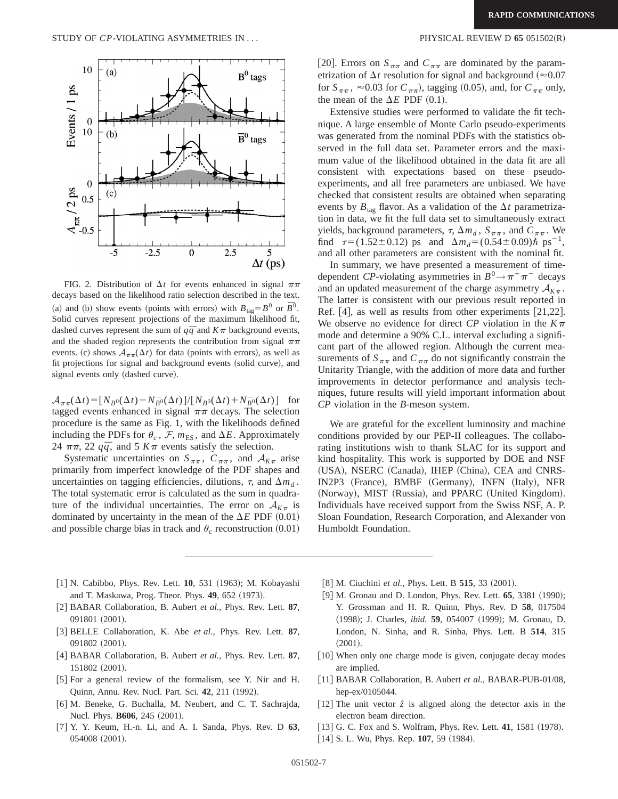

FIG. 2. Distribution of  $\Delta t$  for events enhanced in signal  $\pi\pi$ decays based on the likelihood ratio selection described in the text. (a) and (b) show events (points with errors) with  $B_{\text{tag}} = B^0$  or  $\bar{B}^0$ . Solid curves represent projections of the maximum likelihood fit, dashed curves represent the sum of  $q\bar{q}$  and  $K\pi$  background events, and the shaded region represents the contribution from signal  $\pi\pi$ events. (c) shows  $A_{\pi\pi}(\Delta t)$  for data (points with errors), as well as fit projections for signal and background events (solid curve), and signal events only (dashed curve).

 $\mathcal{A}_{\pi\pi}(\Delta t) = [N_{B^0}(\Delta t) - N_{B^0}(\Delta t)]/[N_{B^0}(\Delta t) + N_{B^0}(\Delta t)]$  for tagged events enhanced in signal  $\pi\pi$  decays. The selection procedure is the same as Fig. 1, with the likelihoods defined including the PDFs for  $\theta_c$ , F,  $m_{ES}$ , and  $\Delta E$ . Approximately 24  $\pi\pi$ , 22  $q\bar{q}$ , and 5  $K\pi$  events satisfy the selection.

Systematic uncertainties on  $S_{\pi\pi}$ ,  $C_{\pi\pi}$ , and  $A_{K_{\pi}}$  arise primarily from imperfect knowledge of the PDF shapes and uncertainties on tagging efficiencies, dilutions,  $\tau$ , and  $\Delta m_d$ . The total systematic error is calculated as the sum in quadrature of the individual uncertainties. The error on  $A_{K_{\pi}}$  is dominated by uncertainty in the mean of the  $\Delta E$  PDF  $(0.01)$ and possible charge bias in track and  $\theta_c$  reconstruction  $(0.01)$ 

[20]. Errors on  $S_{\pi\pi}$  and  $C_{\pi\pi}$  are dominated by the parametrization of  $\Delta t$  resolution for signal and background ( $\approx 0.07$ ) for  $S_{\pi\pi}$ ,  $\approx 0.03$  for  $C_{\pi\pi}$ ), tagging (0.05), and, for  $C_{\pi\pi}$  only, the mean of the  $\Delta E$  PDF  $(0.1)$ .

Extensive studies were performed to validate the fit technique. A large ensemble of Monte Carlo pseudo-experiments was generated from the nominal PDFs with the statistics observed in the full data set. Parameter errors and the maximum value of the likelihood obtained in the data fit are all consistent with expectations based on these pseudoexperiments, and all free parameters are unbiased. We have checked that consistent results are obtained when separating events by  $B_{\text{tag}}$  flavor. As a validation of the  $\Delta t$  parametrization in data, we fit the full data set to simultaneously extract yields, background parameters,  $\tau$ ,  $\Delta m_d$ ,  $S_{\pi\pi}$ , and  $C_{\pi\pi}$ . We find  $\tau=(1.52\pm0.12)$  ps and  $\Delta m_d=(0.54\pm0.09)\hbar$  ps<sup>-1</sup>, and all other parameters are consistent with the nominal fit.

In summary, we have presented a measurement of timedependent *CP*-violating asymmetries in  $B^0 \rightarrow \pi^+ \pi^-$  decays and an updated measurement of the charge asymmetry  $A_{K_{\pi}}$ . The latter is consistent with our previous result reported in Ref.  $[4]$ , as well as results from other experiments  $[21,22]$ . We observe no evidence for direct *CP* violation in the  $K\pi$ mode and determine a 90% C.L. interval excluding a significant part of the allowed region. Although the current measurements of  $S_{\pi\pi}$  and  $C_{\pi\pi}$  do not significantly constrain the Unitarity Triangle, with the addition of more data and further improvements in detector performance and analysis techniques, future results will yield important information about *CP* violation in the *B*-meson system.

We are grateful for the excellent luminosity and machine conditions provided by our PEP-II colleagues. The collaborating institutions wish to thank SLAC for its support and kind hospitality. This work is supported by DOE and NSF (USA), NSERC (Canada), IHEP (China), CEA and CNRS-IN2P3 (France), BMBF (Germany), INFN (Italy), NFR (Norway), MIST (Russia), and PPARC (United Kingdom). Individuals have received support from the Swiss NSF, A. P. Sloan Foundation, Research Corporation, and Alexander von Humboldt Foundation.

- [1] N. Cabibbo, Phys. Rev. Lett. **10**, 531 (1963); M. Kobayashi and T. Maskawa, Prog. Theor. Phys. **49**, 652 (1973).
- [2] BABAR Collaboration, B. Aubert *et al.*, Phys. Rev. Lett. 87, 091801 (2001).
- @3# BELLE Collaboration, K. Abe *et al.*, Phys. Rev. Lett. **87**, 091802 (2001).
- [4] BABAR Collaboration, B. Aubert *et al.*, Phys. Rev. Lett. 87, 151802 (2001).
- [5] For a general review of the formalism, see Y. Nir and H. Quinn, Annu. Rev. Nucl. Part. Sci. 42, 211 (1992).
- [6] M. Beneke, G. Buchalla, M. Neubert, and C. T. Sachrajda, Nucl. Phys. **B606**, 245 (2001).
- @7# Y. Y. Keum, H.-n. Li, and A. I. Sanda, Phys. Rev. D **63**, 054008 (2001).
- [8] M. Ciuchini *et al.*, Phys. Lett. B **515**, 33 (2001).
- [9] M. Gronau and D. London, Phys. Rev. Lett. **65**, 3381 (1990); Y. Grossman and H. R. Quinn, Phys. Rev. D **58**, 017504 (1998); J. Charles, *ibid.* **59**, 054007 (1999); M. Gronau, D. London, N. Sinha, and R. Sinha, Phys. Lett. B **514**, 315  $(2001).$
- [10] When only one charge mode is given, conjugate decay modes are implied.
- [11] BABAR Collaboration, B. Aubert *et al.*, BABAR-PUB-01/08, hep-ex/0105044.
- [12] The unit vector  $\hat{z}$  is aligned along the detector axis in the electron beam direction.
- [13] G. C. Fox and S. Wolfram, Phys. Rev. Lett. **41**, 1581 (1978).
- [14] S. L. Wu, Phys. Rep. **107**, 59 (1984).